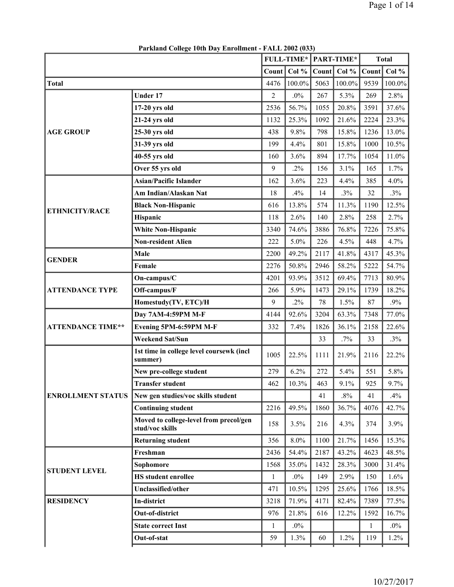|                          |                                                           | <b>FULL-TIME*</b> |          |       | PART-TIME* |              | <b>Total</b> |
|--------------------------|-----------------------------------------------------------|-------------------|----------|-------|------------|--------------|--------------|
|                          |                                                           | Count             | Col %    | Count | Col %      | Count        | Col %        |
| <b>Total</b>             |                                                           | 4476              | 100.0%   | 5063  | 100.0%     | 9539         | 100.0%       |
|                          | <b>Under 17</b>                                           | 2                 | $.0\%$   | 267   | 5.3%       | 269          | 2.8%         |
|                          | $17-20$ yrs old                                           | 2536              | 56.7%    | 1055  | 20.8%      | 3591         | 37.6%        |
|                          | 21-24 yrs old                                             | 1132              | 25.3%    | 1092  | 21.6%      | 2224         | 23.3%        |
| <b>AGE GROUP</b>         | 25-30 yrs old                                             | 438               | 9.8%     | 798   | 15.8%      | 1236         | 13.0%        |
|                          | 31-39 yrs old                                             | 199               | 4.4%     | 801   | 15.8%      | 1000         | 10.5%        |
|                          | 40-55 yrs old                                             | 160               | 3.6%     | 894   | 17.7%      | 1054         | 11.0%        |
|                          | Over 55 yrs old                                           | 9                 | $.2\%$   | 156   | 3.1%       | 165          | 1.7%         |
|                          | <b>Asian/Pacific Islander</b>                             | 162               | 3.6%     | 223   | 4.4%       | 385          | 4.0%         |
|                          | Am Indian/Alaskan Nat                                     | 18                | .4%      | 14    | .3%        | 32           | .3%          |
| <b>ETHNICITY/RACE</b>    | <b>Black Non-Hispanic</b>                                 | 616               | 13.8%    | 574   | 11.3%      | 1190         | 12.5%        |
|                          | Hispanic                                                  | 118               | 2.6%     | 140   | 2.8%       | 258          | 2.7%         |
|                          | <b>White Non-Hispanic</b>                                 | 3340              | 74.6%    | 3886  | 76.8%      | 7226         | 75.8%        |
|                          | <b>Non-resident Alien</b>                                 | 222               | 5.0%     | 226   | 4.5%       | 448          | 4.7%         |
| <b>GENDER</b>            | Male                                                      | 2200              | 49.2%    | 2117  | 41.8%      | 4317         | 45.3%        |
|                          | Female                                                    | 2276              | 50.8%    | 2946  | 58.2%      | 5222         | 54.7%        |
|                          | On-campus/C                                               | 4201              | 93.9%    | 3512  | 69.4%      | 7713         | 80.9%        |
| <b>ATTENDANCE TYPE</b>   | Off-campus/F                                              | 266               | 5.9%     | 1473  | 29.1%      | 1739         | 18.2%        |
|                          | Homestudy(TV, ETC)/H                                      | 9                 | $.2\%$   | 78    | 1.5%       | 87           | .9%          |
|                          | Day 7AM-4:59PM M-F                                        | 4144              | 92.6%    | 3204  | 63.3%      | 7348         | 77.0%        |
| <b>ATTENDANCE TIME**</b> | Evening 5PM-6:59PM M-F                                    | 332               | 7.4%     | 1826  | 36.1%      | 2158         | 22.6%        |
|                          | <b>Weekend Sat/Sun</b>                                    |                   |          | 33    | $.7\%$     | 33           | .3%          |
|                          | 1st time in college level coursewk (incl<br>summer)       | 1005              | 22.5%    | 1111  | 21.9%      | 2116         | 22.2%        |
|                          | New pre-college student                                   | 279               | 6.2%     | 272   | 5.4%       | 551          | 5.8%         |
|                          | <b>Transfer student</b>                                   | 462               | $10.3\%$ | 463   | 9.1%       | 925          | 9.7%         |
| <b>ENROLLMENT STATUS</b> | New gen studies/voc skills student                        |                   |          | 41    | $.8\%$     | 41           | $.4\%$       |
|                          | <b>Continuing student</b>                                 | 2216              | 49.5%    | 1860  | 36.7%      | 4076         | 42.7%        |
|                          | Moved to college-level from precol/gen<br>stud/voc skills | 158               | 3.5%     | 216   | 4.3%       | 374          | 3.9%         |
|                          | <b>Returning student</b>                                  | 356               | 8.0%     | 1100  | 21.7%      | 1456         | 15.3%        |
|                          | Freshman                                                  | 2436              | 54.4%    | 2187  | 43.2%      | 4623         | 48.5%        |
|                          | Sophomore                                                 | 1568              | 35.0%    | 1432  | 28.3%      | 3000         | 31.4%        |
| <b>STUDENT LEVEL</b>     | <b>HS</b> student enrollee                                | 1                 | $.0\%$   | 149   | 2.9%       | 150          | 1.6%         |
|                          | Unclassified/other                                        | 471               | 10.5%    | 1295  | 25.6%      | 1766         | 18.5%        |
| <b>RESIDENCY</b>         | In-district                                               | 3218              | 71.9%    | 4171  | 82.4%      | 7389         | 77.5%        |
|                          | Out-of-district                                           | 976               | 21.8%    | 616   | 12.2%      | 1592         | 16.7%        |
|                          | <b>State correct Inst</b>                                 | 1                 | $.0\%$   |       |            | $\mathbf{1}$ | $.0\%$       |
|                          | Out-of-stat                                               | 59                | 1.3%     | 60    | 1.2%       | 119          | 1.2%         |
|                          |                                                           |                   |          |       |            |              |              |

**Parkland College 10th Day Enrollment - FALL 2002 (033)**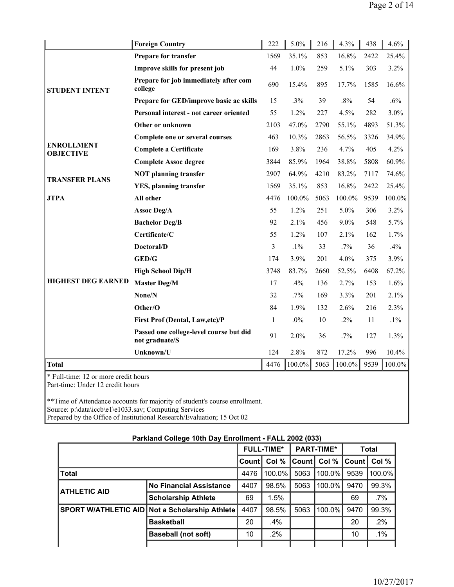|                                                                          | <b>Foreign Country</b>                                    | 222          | 5.0%      | 216  | 4.3%    | 438  | 4.6%      |
|--------------------------------------------------------------------------|-----------------------------------------------------------|--------------|-----------|------|---------|------|-----------|
|                                                                          | <b>Prepare for transfer</b>                               | 1569         | 35.1%     | 853  | 16.8%   | 2422 | 25.4%     |
|                                                                          | Improve skills for present job                            | 44           | 1.0%      | 259  | 5.1%    | 303  | 3.2%      |
| <b>STUDENT INTENT</b>                                                    | Prepare for job immediately after com<br>college          | 690          | 15.4%     | 895  | 17.7%   | 1585 | 16.6%     |
|                                                                          | Prepare for GED/improve basic ac skills                   | 15           | .3%       | 39   | .8%     | 54   | .6%       |
|                                                                          | Personal interest - not career oriented                   | 55           | 1.2%      | 227  | 4.5%    | 282  | 3.0%      |
|                                                                          | Other or unknown                                          | 2103         | 47.0%     | 2790 | 55.1%   | 4893 | 51.3%     |
|                                                                          | Complete one or several courses                           | 463          | 10.3%     | 2863 | 56.5%   | 3326 | 34.9%     |
| <b>ENROLLMENT</b><br><b>OBJECTIVE</b>                                    | <b>Complete a Certificate</b>                             | 169          | 3.8%      | 236  | 4.7%    | 405  | 4.2%      |
|                                                                          | <b>Complete Assoc degree</b>                              | 3844         | 85.9%     | 1964 | 38.8%   | 5808 | 60.9%     |
| <b>TRANSFER PLANS</b>                                                    | <b>NOT planning transfer</b>                              | 2907         | 64.9%     | 4210 | 83.2%   | 7117 | 74.6%     |
|                                                                          | <b>YES</b> , planning transfer                            | 1569         | 35.1%     | 853  | 16.8%   | 2422 | 25.4%     |
| <b>JTPA</b>                                                              | All other                                                 | 4476         | 100.0%    | 5063 | 100.0%  | 9539 | 100.0%    |
|                                                                          | Assoc Deg/A                                               | 55           | 1.2%      | 251  | 5.0%    | 306  | 3.2%      |
|                                                                          | <b>Bachelor Deg/B</b>                                     | 92           | 2.1%      | 456  | $9.0\%$ | 548  | 5.7%      |
|                                                                          | Certificate/C                                             | 55           | 1.2%      | 107  | 2.1%    | 162  | 1.7%      |
|                                                                          | Doctoral/D                                                | 3            | $.1\%$    | 33   | $.7\%$  | 36   | .4%       |
|                                                                          | GED/G                                                     | 174          | 3.9%      | 201  | 4.0%    | 375  | 3.9%      |
|                                                                          | <b>High School Dip/H</b>                                  | 3748         | 83.7%     | 2660 | 52.5%   | 6408 | 67.2%     |
| <b>HIGHEST DEG EARNED</b>                                                | <b>Master Deg/M</b>                                       | 17           | .4%       | 136  | 2.7%    | 153  | 1.6%      |
|                                                                          | None/N                                                    | 32           | $.7\%$    | 169  | 3.3%    | 201  | 2.1%      |
|                                                                          | Other/O                                                   | 84           | 1.9%      | 132  | 2.6%    | 216  | 2.3%      |
|                                                                          | First Prof (Dental, Law, etc)/P                           | $\mathbf{1}$ | $.0\%$    | 10   | $.2\%$  | 11   | $.1\%$    |
|                                                                          | Passed one college-level course but did<br>not graduate/S | 91           | 2.0%      | 36   | $.7\%$  | 127  | 1.3%      |
|                                                                          | Unknown/U                                                 | 124          | 2.8%      | 872  | 17.2%   | 996  | 10.4%     |
| <b>Total</b>                                                             |                                                           | 4476         | $100.0\%$ | 5063 | 100.0%  | 9539 | $100.0\%$ |
| * Full-time: 12 or more credit hours<br>Part-time: Under 12 credit hours |                                                           |              |           |      |         |      |           |

\*\*Time of Attendance accounts for majority of student's course enrollment. Source: p:\data\iccb\e1\e1033.sav; Computing Services Prepared by the Office of Institutional Research/Evaluation; 15 Oct 02

|                     |                                                       |              | <b>FULL-TIME*</b> |        | <b>PART-TIME*</b> |              | <b>Total</b> |
|---------------------|-------------------------------------------------------|--------------|-------------------|--------|-------------------|--------------|--------------|
|                     |                                                       | <b>Count</b> | Col %             | Countl | Col %             | <b>Count</b> | Col %        |
| <b>Total</b>        |                                                       | 4476         | $100.0\%$         | 5063   | $100.0\%$         | 9539         | 100.0%       |
| <b>ATHLETIC AID</b> | <b>No Financial Assistance</b>                        | 4407         | 98.5%             | 5063   | 100.0%            | 9470         | 99.3%        |
|                     | <b>Scholarship Athlete</b>                            | 69           | 1.5%              |        |                   | 69           | $.7\%$       |
|                     | <b>SPORT W/ATHLETIC AID Not a Scholarship Athlete</b> | 4407         | 98.5%             | 5063   | $100.0\%$         | 9470         | 99.3%        |
|                     | <b>Basketball</b>                                     | 20           | $.4\%$            |        |                   | 20           | .2%          |
|                     | <b>Baseball (not soft)</b>                            | 10           | .2%               |        |                   | 10           | .1%          |
|                     |                                                       |              |                   |        |                   |              |              |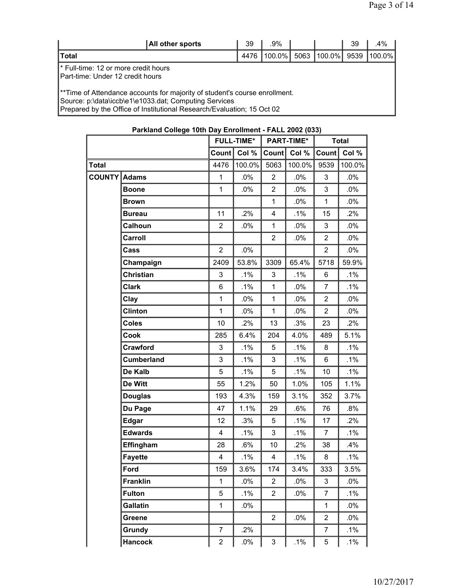| All other sports                                                                                                                                                                                              | 39   | $.9\%$ |      |                              | 39 | .4% |  |  |  |  |
|---------------------------------------------------------------------------------------------------------------------------------------------------------------------------------------------------------------|------|--------|------|------------------------------|----|-----|--|--|--|--|
| <b>Total</b>                                                                                                                                                                                                  | 4476 | 100.0% | 5063 | $ 100.0\% $ 9539 $ 100.0\% $ |    |     |  |  |  |  |
| <b>I</b> * Full-time: 12 or more credit hours<br>IPart-time: Under 12 credit hours                                                                                                                            |      |        |      |                              |    |     |  |  |  |  |
| **Time of Attendance accounts for majority of student's course enrollment.<br>Source: p:\data\iccb\e1\e1033.dat; Computing Services<br>Prepared by the Office of Institutional Research/Evaluation; 15 Oct 02 |      |        |      |                              |    |     |  |  |  |  |

|               |                   |                         | <b>FULL-TIME*</b> |                         | <b>PART-TIME*</b> |                | <b>Total</b> |
|---------------|-------------------|-------------------------|-------------------|-------------------------|-------------------|----------------|--------------|
|               |                   | <b>Count</b>            | Col %             | <b>Count</b>            | Col %             | Count          | Col %        |
| Total         |                   | 4476                    | 100.0%            | 5063                    | 100.0%            | 9539           | 100.0%       |
| <b>COUNTY</b> | <b>Adams</b>      | 1                       | $.0\%$            | $\overline{2}$          | .0%               | 3              | $.0\%$       |
|               | <b>Boone</b>      | $\mathbf 1$             | .0%               | $\overline{2}$          | .0%               | 3              | .0%          |
|               | <b>Brown</b>      |                         |                   | 1                       | .0%               | $\mathbf{1}$   | $.0\%$       |
|               | <b>Bureau</b>     | 11                      | .2%               | $\overline{\mathbf{4}}$ | $.1\%$            | 15             | .2%          |
|               | Calhoun           | $\overline{2}$          | $.0\%$            | $\mathbf{1}$            | $.0\%$            | 3              | $.0\%$       |
|               | Carroll           |                         |                   | $\overline{2}$          | $.0\%$            | $\overline{2}$ | $.0\%$       |
|               | Cass              | $\overline{2}$          | $.0\%$            |                         |                   | $\overline{2}$ | $.0\%$       |
|               | Champaign         | 2409                    | 53.8%             | 3309                    | 65.4%             | 5718           | 59.9%        |
|               | Christian         | 3                       | .1%               | $\mathbf{3}$            | $.1\%$            | 6              | $.1\%$       |
|               | <b>Clark</b>      | 6                       | .1%               | $\mathbf 1$             | $.0\%$            | 7              | $.1\%$       |
|               | Clay              | 1                       | $.0\%$            | $\mathbf 1$             | .0%               | $\overline{2}$ | $.0\%$       |
|               | <b>Clinton</b>    | $\mathbf 1$             | $.0\%$            | $\mathbf{1}$            | $.0\%$            | $\overline{2}$ | $.0\%$       |
|               | <b>Coles</b>      | 10                      | .2%               | 13                      | .3%               | 23             | .2%          |
|               | Cook              | 285                     | 6.4%              | 204                     | 4.0%              | 489            | 5.1%         |
|               | Crawford          | 3                       | $.1\%$            | 5                       | $.1\%$            | 8              | $.1\%$       |
|               | <b>Cumberland</b> | 3                       | $.1\%$            | 3                       | $.1\%$            | 6              | $.1\%$       |
|               | De Kalb           | 5                       | .1%               | 5                       | $.1\%$            | 10             | $.1\%$       |
|               | De Witt           | 55                      | 1.2%              | 50                      | 1.0%              | 105            | 1.1%         |
|               | <b>Douglas</b>    | 193                     | 4.3%              | 159                     | 3.1%              | 352            | 3.7%         |
|               | Du Page           | 47                      | 1.1%              | 29                      | $.6\%$            | 76             | $.8\%$       |
|               | <b>Edgar</b>      | 12                      | .3%               | 5                       | .1%               | 17             | .2%          |
|               | <b>Edwards</b>    | 4                       | $.1\%$            | $\mathsf 3$             | $.1\%$            | 7              | $.1\%$       |
|               | Effingham         | 28                      | $.6\%$            | 10                      | .2%               | 38             | .4%          |
|               | <b>Fayette</b>    | $\overline{\mathbf{4}}$ | .1%               | $\overline{\mathbf{4}}$ | .1%               | 8              | $.1\%$       |
|               | Ford              | 159                     | 3.6%              | 174                     | 3.4%              | 333            | 3.5%         |
|               | <b>Franklin</b>   | $\mathbf{1}$            | .0%               | $\overline{2}$          | $.0\%$            | 3              | .0%          |
|               | <b>Fulton</b>     | 5                       | $.1\%$            | $\overline{2}$          | $.0\%$            | 7              | $.1\%$       |
|               | <b>Gallatin</b>   | $\mathbf{1}$            | $.0\%$            |                         |                   | $\mathbf{1}$   | .0%          |
|               | Greene            |                         |                   | $\overline{2}$          | $.0\%$            | $\overline{2}$ | $.0\%$       |
|               | Grundy            | $\overline{7}$          | .2%               |                         |                   | 7              | $.1\%$       |
|               | <b>Hancock</b>    | $\overline{c}$          | $.0\%$            | $\mathfrak{S}$          | $.1\%$            | 5              | $.1\%$       |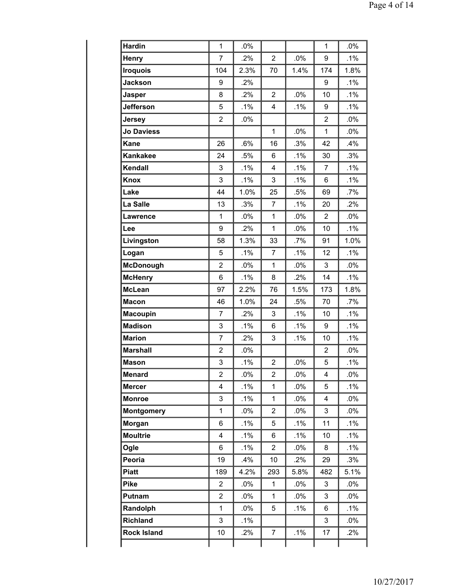| <b>Hardin</b>      | 1                       | .0%    |                |        | $\mathbf 1$    | .0%    |
|--------------------|-------------------------|--------|----------------|--------|----------------|--------|
| <b>Henry</b>       | 7                       | .2%    | $\overline{2}$ | .0%    | 9              | .1%    |
| <b>Iroquois</b>    | 104                     | 2.3%   | 70             | 1.4%   | 174            | 1.8%   |
| <b>Jackson</b>     | 9                       | .2%    |                |        | 9              | .1%    |
| <b>Jasper</b>      | 8                       | .2%    | $\overline{2}$ | .0%    | 10             | .1%    |
| Jefferson          | 5                       | .1%    | 4              | .1%    | 9              | $.1\%$ |
| Jersey             | $\overline{2}$          | .0%    |                |        | 2              | .0%    |
| <b>Jo Daviess</b>  |                         |        | $\mathbf{1}$   | .0%    | $\mathbf{1}$   | .0%    |
| Kane               | 26                      | .6%    | 16             | .3%    | 42             | .4%    |
| <b>Kankakee</b>    | 24                      | .5%    | 6              | .1%    | 30             | .3%    |
| Kendall            | 3                       | .1%    | 4              | .1%    | $\overline{7}$ | .1%    |
| <b>Knox</b>        | 3                       | .1%    | 3              | .1%    | 6              | .1%    |
| Lake               | 44                      | 1.0%   | 25             | .5%    | 69             | $.7\%$ |
| La Salle           | 13                      | .3%    | $\overline{7}$ | .1%    | 20             | $.2\%$ |
| Lawrence           | 1                       | .0%    | $\mathbf{1}$   | .0%    | $\overline{2}$ | .0%    |
| Lee                | 9                       | .2%    | $\mathbf{1}$   | .0%    | 10             | .1%    |
| Livingston         | 58                      | 1.3%   | 33             | .7%    | 91             | 1.0%   |
| Logan              | 5                       | .1%    | $\overline{7}$ | .1%    | 12             | .1%    |
| <b>McDonough</b>   | $\overline{2}$          | .0%    | $\mathbf{1}$   | .0%    | 3              | .0%    |
| <b>McHenry</b>     | 6                       | .1%    | 8              | .2%    | 14             | $.1\%$ |
| <b>McLean</b>      | 97                      | 2.2%   | 76             | 1.5%   | 173            | 1.8%   |
| <b>Macon</b>       | 46                      | 1.0%   | 24             | .5%    | 70             | $.7\%$ |
| <b>Macoupin</b>    | 7                       | .2%    | 3              | .1%    | 10             | .1%    |
| <b>Madison</b>     | 3                       | .1%    | 6              | .1%    | 9              | $.1\%$ |
| <b>Marion</b>      | 7                       | .2%    | 3              | .1%    | 10             | $.1\%$ |
| <b>Marshall</b>    | $\overline{2}$          | .0%    |                |        | $\overline{2}$ | .0%    |
| <b>Mason</b>       | 3                       | .1%    | $\overline{2}$ | .0%    | 5              | .1%    |
| Menard             | 2                       | .0%    | 2              | .0%    | 4              | .0%    |
| <b>Mercer</b>      | $\overline{\mathbf{4}}$ | .1%    | $\mathbf{1}$   | .0%    | 5              | .1%    |
| <b>Monroe</b>      | 3                       | .1%    | $\mathbf{1}$   | $.0\%$ | 4              | $.0\%$ |
| <b>Montgomery</b>  | $\mathbf 1$             | .0%    | $\overline{2}$ | .0%    | 3              | .0%    |
| Morgan             | 6                       | .1%    | 5              | $.1\%$ | 11             | $.1\%$ |
| <b>Moultrie</b>    | $\overline{\mathbf{4}}$ | .1%    | 6              | $.1\%$ | 10             | $.1\%$ |
| Ogle               | 6                       | .1%    | $\overline{2}$ | $.0\%$ | 8              | .1%    |
| Peoria             | 19                      | .4%    | 10             | .2%    | 29             | .3%    |
| <b>Piatt</b>       | 189                     | 4.2%   | 293            | 5.8%   | 482            | 5.1%   |
| <b>Pike</b>        | $\overline{2}$          | $.0\%$ | $\mathbf{1}$   | $.0\%$ | 3              | $.0\%$ |
| Putnam             | $\overline{2}$          | .0%    | $\mathbf{1}$   | .0%    | 3              | $.0\%$ |
| Randolph           | 1                       | .0%    | 5              | $.1\%$ | 6              | $.1\%$ |
| Richland           | 3                       | .1%    |                |        | 3              | .0%    |
| <b>Rock Island</b> | 10                      | .2%    | 7              | $.1\%$ | 17             | .2%    |
|                    |                         |        |                |        |                |        |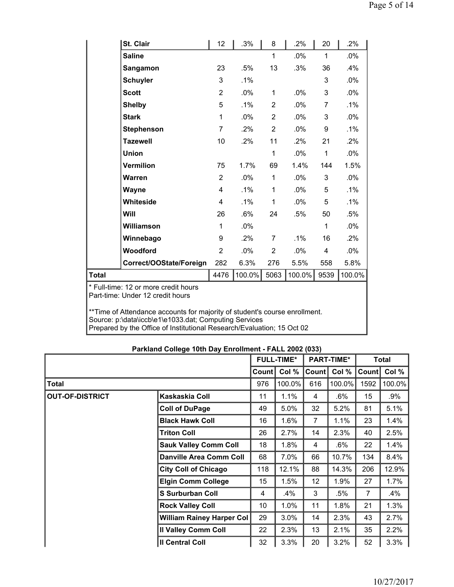|                                                                                                                                                        | St. Clair                                                                                                                       | 12             | .3%    | 8              | .2%    | 20           | .2%    |  |  |  |
|--------------------------------------------------------------------------------------------------------------------------------------------------------|---------------------------------------------------------------------------------------------------------------------------------|----------------|--------|----------------|--------|--------------|--------|--|--|--|
|                                                                                                                                                        | <b>Saline</b>                                                                                                                   |                |        | $\mathbf{1}$   | .0%    | $\mathbf{1}$ | .0%    |  |  |  |
|                                                                                                                                                        | Sangamon                                                                                                                        | 23             | .5%    | 13             | .3%    | 36           | .4%    |  |  |  |
|                                                                                                                                                        | <b>Schuyler</b>                                                                                                                 | 3              | .1%    |                |        | 3            | .0%    |  |  |  |
|                                                                                                                                                        | <b>Scott</b>                                                                                                                    | $\overline{2}$ | .0%    | $\mathbf{1}$   | $.0\%$ | 3            | .0%    |  |  |  |
|                                                                                                                                                        | <b>Shelby</b>                                                                                                                   | 5              | $.1\%$ | $\overline{2}$ | $.0\%$ | 7            | $.1\%$ |  |  |  |
|                                                                                                                                                        | <b>Stark</b>                                                                                                                    | $\mathbf{1}$   | .0%    | $\overline{2}$ | .0%    | 3            | .0%    |  |  |  |
|                                                                                                                                                        | <b>Stephenson</b>                                                                                                               | $\overline{7}$ | $.2\%$ | 2              | $.0\%$ | 9            | .1%    |  |  |  |
|                                                                                                                                                        | <b>Tazewell</b>                                                                                                                 | 10             | $.2\%$ | 11             | .2%    | 21           | .2%    |  |  |  |
|                                                                                                                                                        | <b>Union</b>                                                                                                                    |                |        | $\mathbf{1}$   | .0%    | $\mathbf{1}$ | .0%    |  |  |  |
|                                                                                                                                                        | <b>Vermilion</b>                                                                                                                | 75             | 1.7%   | 69             | 1.4%   | 144          | 1.5%   |  |  |  |
|                                                                                                                                                        | Warren                                                                                                                          | $\overline{2}$ | $.0\%$ | 1              | $.0\%$ | 3            | .0%    |  |  |  |
|                                                                                                                                                        | Wayne                                                                                                                           | 4              | .1%    | $\mathbf{1}$   | .0%    | 5            | $.1\%$ |  |  |  |
|                                                                                                                                                        | Whiteside                                                                                                                       | 4              | $.1\%$ | 1              | .0%    | 5            | $.1\%$ |  |  |  |
|                                                                                                                                                        | Will                                                                                                                            | 26             | .6%    | 24             | .5%    | 50           | .5%    |  |  |  |
|                                                                                                                                                        | Williamson                                                                                                                      | $\mathbf{1}$   | .0%    |                |        | $\mathbf{1}$ | .0%    |  |  |  |
|                                                                                                                                                        | Winnebago                                                                                                                       | 9              | $.2\%$ | 7              | $.1\%$ | 16           | .2%    |  |  |  |
|                                                                                                                                                        | Woodford                                                                                                                        | $\overline{2}$ | .0%    | $\overline{2}$ | .0%    | 4            | $.0\%$ |  |  |  |
|                                                                                                                                                        | Correct/OOState/Foreign                                                                                                         | 282            | 6.3%   | 276            | 5.5%   | 558          | 5.8%   |  |  |  |
| Total                                                                                                                                                  |                                                                                                                                 | 4476           | 100.0% | 5063           | 100.0% | 9539         | 100.0% |  |  |  |
| * Full-time: 12 or more credit hours<br>Part-time: Under 12 credit hours<br>**Time of Attendance accounts for majority of student's course enrollment. |                                                                                                                                 |                |        |                |        |              |        |  |  |  |
|                                                                                                                                                        | Source: p:\data\iccb\e1\e1033.dat; Computing Services<br>Prepared by the Office of Institutional Research/Evaluation; 15 Oct 02 |                |        |                |        |              |        |  |  |  |

|                        |                                  |       | <b>FULL-TIME*</b> | <b>PART-TIME*</b> |        |       | <b>Total</b> |
|------------------------|----------------------------------|-------|-------------------|-------------------|--------|-------|--------------|
|                        |                                  | Count | Col %             | Count             | Col %  | Count | Col %        |
| <b>Total</b>           |                                  | 976   | 100.0%            | 616               | 100.0% | 1592  | 100.0%       |
| <b>OUT-OF-DISTRICT</b> | Kaskaskia Coll                   | 11    | 1.1%              | $\overline{4}$    | .6%    | 15    | .9%          |
|                        | <b>Coll of DuPage</b>            | 49    | 5.0%              | 32                | 5.2%   | 81    | 5.1%         |
|                        | <b>Black Hawk Coll</b>           | 16    | 1.6%              | 7                 | 1.1%   | 23    | 1.4%         |
|                        | <b>Triton Coll</b>               | 26    | 2.7%              | 14                | 2.3%   | 40    | 2.5%         |
|                        | <b>Sauk Valley Comm Coll</b>     | 18    | 1.8%              | $\overline{4}$    | .6%    | 22    | 1.4%         |
|                        | <b>Danville Area Comm Coll</b>   | 68    | 7.0%              | 66                | 10.7%  | 134   | 8.4%         |
|                        | <b>City Coll of Chicago</b>      | 118   | 12.1%             | 88                | 14.3%  | 206   | 12.9%        |
|                        | <b>Elgin Comm College</b>        | 15    | 1.5%              | 12                | 1.9%   | 27    | 1.7%         |
|                        | <b>S</b> Surburban Coll          | 4     | .4%               | 3                 | .5%    | 7     | .4%          |
|                        | <b>Rock Valley Coll</b>          | 10    | 1.0%              | 11                | 1.8%   | 21    | 1.3%         |
|                        | <b>William Rainey Harper Col</b> | 29    | 3.0%              | 14                | 2.3%   | 43    | 2.7%         |
|                        | <b>Il Valley Comm Coll</b>       | 22    | 2.3%              | 13                | 2.1%   | 35    | 2.2%         |
|                        | <b>Il Central Coll</b>           | 32    | 3.3%              | 20                | 3.2%   | 52    | 3.3%         |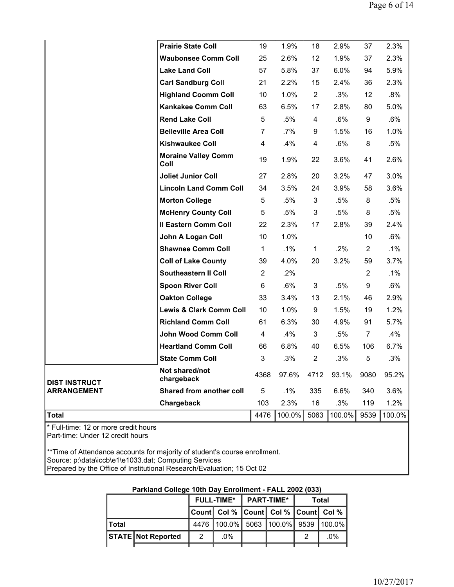|                      | <b>Prairie State Coll</b>          | 19             | 1.9%   | 18                | 2.9%    | 37               | 2.3%   |
|----------------------|------------------------------------|----------------|--------|-------------------|---------|------------------|--------|
|                      | <b>Waubonsee Comm Coll</b>         | 25             | 2.6%   | $12 \overline{ }$ | 1.9%    | 37               | 2.3%   |
|                      | <b>Lake Land Coll</b>              | 57             | 5.8%   | 37                | 6.0%    | 94               | 5.9%   |
|                      | <b>Carl Sandburg Coll</b>          | 21             | 2.2%   | 15                | $2.4\%$ | 36               | 2.3%   |
|                      | <b>Highland Coomm Coll</b>         | 10             | 1.0%   | $\overline{2}$    | .3%     | 12               | .8%    |
|                      | <b>Kankakee Comm Coll</b>          | 63             | 6.5%   | 17                | 2.8%    | 80               | 5.0%   |
|                      | <b>Rend Lake Coll</b>              | 5              | .5%    | 4                 | .6%     | 9                | .6%    |
|                      | <b>Belleville Area Coll</b>        | $\overline{7}$ | $.7\%$ | 9                 | 1.5%    | 16               | 1.0%   |
|                      | <b>Kishwaukee Coll</b>             | 4              | .4%    | 4                 | .6%     | 8                | .5%    |
|                      | <b>Moraine Valley Comm</b><br>Coll | 19             | 1.9%   | 22                | 3.6%    | 41               | 2.6%   |
|                      | <b>Joliet Junior Coll</b>          | 27             | 2.8%   | 20                | 3.2%    | 47               | 3.0%   |
|                      | <b>Lincoln Land Comm Coll</b>      | 34             | 3.5%   | 24                | 3.9%    | 58               | 3.6%   |
|                      | <b>Morton College</b>              | 5              | .5%    | 3                 | .5%     | 8                | .5%    |
|                      | <b>McHenry County Coll</b>         | 5              | .5%    | 3                 | .5%     | 8                | .5%    |
|                      | <b>Il Eastern Comm Coll</b>        | 22             | 2.3%   | 17                | 2.8%    | 39               | 2.4%   |
|                      | John A Logan Coll                  | 10             | 1.0%   |                   |         | 10               | .6%    |
|                      | <b>Shawnee Comm Coll</b>           | $\mathbf{1}$   | .1%    | $\mathbf{1}$      | .2%     | $\overline{2}$   | .1%    |
|                      | <b>Coll of Lake County</b>         | 39             | 4.0%   | 20                | 3.2%    | 59               | 3.7%   |
|                      | Southeastern II Coll               | $\overline{2}$ | .2%    |                   |         | $\boldsymbol{2}$ | .1%    |
|                      | <b>Spoon River Coll</b>            | 6              | .6%    | $\mathfrak{S}$    | .5%     | $\boldsymbol{9}$ | .6%    |
|                      | <b>Oakton College</b>              | 33             | 3.4%   | 13                | 2.1%    | 46               | 2.9%   |
|                      | <b>Lewis &amp; Clark Comm Coll</b> | 10             | 1.0%   | $\boldsymbol{9}$  | 1.5%    | 19               | 1.2%   |
|                      | <b>Richland Comm Coll</b>          | 61             | 6.3%   | 30                | 4.9%    | 91               | 5.7%   |
|                      | John Wood Comm Coll                | 4              | .4%    | 3                 | .5%     | $\overline{7}$   | .4%    |
|                      | <b>Heartland Comm Coll</b>         | 66             | 6.8%   | 40                | 6.5%    | 106              | 6.7%   |
|                      | <b>State Comm Coll</b>             | 3              | .3%    | $\overline{c}$    | .3%     | 5                | .3%    |
| <b>DIST INSTRUCT</b> | Not shared/not<br>chargeback       | 4368           | 97.6%  | 4712              | 93.1%   | 9080             | 95.2%  |
| <b>ARRANGEMENT</b>   | Shared from another coll           | 5              | $.1\%$ | 335               | 6.6%    | 340              | 3.6%   |
|                      | Chargeback                         | 103            | 2.3%   | 16                | .3%     | 119              | 1.2%   |
| Total                |                                    | 4476           | 100.0% | 5063              | 100.0%  | 9539             | 100.0% |
|                      |                                    |                |        |                   |         |                  |        |

\* Full-time: 12 or more credit hours Part-time: Under 12 credit hours

\*\*Time of Attendance accounts for majority of student's course enrollment. Source: p:\data\iccb\e1\e1033.dat; Computing Services Prepared by the Office of Institutional Research/Evaluation; 15 Oct 02

| Parkland College Tuth Day Enforment - FALL 2002 (033) |                           |   |                                               |  |                           |   |              |  |  |  |
|-------------------------------------------------------|---------------------------|---|-----------------------------------------------|--|---------------------------|---|--------------|--|--|--|
|                                                       |                           |   | <b>FULL-TIME*</b>                             |  | $\blacksquare$ PART-TIME* |   | <b>Total</b> |  |  |  |
|                                                       |                           |   | Count  Col %  Count  Col %  Count  Col %      |  |                           |   |              |  |  |  |
| ∣Total                                                |                           |   | 4476   100.0%   5063   100.0%   9539   100.0% |  |                           |   |              |  |  |  |
|                                                       | <b>STATE Not Reported</b> | 2 | $.0\%$                                        |  |                           | 2 | .0%          |  |  |  |
|                                                       |                           |   |                                               |  |                           |   |              |  |  |  |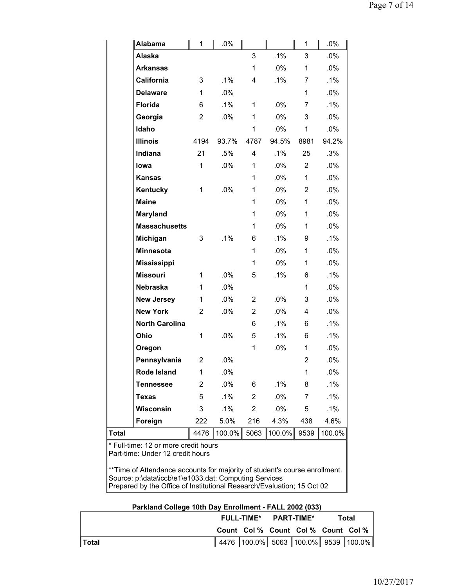| 3<br>$\mathbf{1}$<br>6<br>$\overline{2}$<br>4194<br>21<br>1<br>1<br>3 | .1%<br>.0%<br>.1%<br>.0%<br>93.7%<br>.5%<br>.0%<br>$.0\%$<br>.1% | 3<br>$\mathbf{1}$<br>4<br>1<br>1<br>1<br>4787<br>4<br>1<br>1<br>1<br>$\mathbf{1}$<br>1<br>1<br>6<br>1 | .1%<br>.0%<br>$.1\%$<br>.0%<br>$.0\%$<br>.0%<br>94.5%<br>.1%<br>$.0\%$<br>$.0\%$<br>$.0\%$<br>$.0\%$<br>$.0\%$<br>.0%<br>.1%<br>$.0\%$ | 3<br>1<br>7<br>1<br>7<br>3<br>1<br>8981<br>25<br>$\overline{2}$<br>$\mathbf{1}$<br>2<br>1<br>1<br>1<br>9<br>1 | .0%<br>.0%<br>.1%<br>.0%<br>$.1\%$<br>$.0\%$<br>$.0\%$<br>94.2%<br>.3%<br>.0%<br>.0%<br>.0%<br>.0%<br>.0%<br>.0%<br>.1% |
|-----------------------------------------------------------------------|------------------------------------------------------------------|-------------------------------------------------------------------------------------------------------|----------------------------------------------------------------------------------------------------------------------------------------|---------------------------------------------------------------------------------------------------------------|-------------------------------------------------------------------------------------------------------------------------|
|                                                                       |                                                                  |                                                                                                       |                                                                                                                                        |                                                                                                               |                                                                                                                         |
|                                                                       |                                                                  |                                                                                                       |                                                                                                                                        |                                                                                                               |                                                                                                                         |
|                                                                       |                                                                  |                                                                                                       |                                                                                                                                        |                                                                                                               |                                                                                                                         |
|                                                                       |                                                                  |                                                                                                       |                                                                                                                                        |                                                                                                               |                                                                                                                         |
|                                                                       |                                                                  |                                                                                                       |                                                                                                                                        |                                                                                                               |                                                                                                                         |
|                                                                       |                                                                  |                                                                                                       |                                                                                                                                        |                                                                                                               |                                                                                                                         |
|                                                                       |                                                                  |                                                                                                       |                                                                                                                                        |                                                                                                               |                                                                                                                         |
|                                                                       |                                                                  |                                                                                                       |                                                                                                                                        |                                                                                                               |                                                                                                                         |
|                                                                       |                                                                  |                                                                                                       |                                                                                                                                        |                                                                                                               |                                                                                                                         |
|                                                                       |                                                                  |                                                                                                       |                                                                                                                                        |                                                                                                               |                                                                                                                         |
|                                                                       |                                                                  |                                                                                                       |                                                                                                                                        |                                                                                                               |                                                                                                                         |
|                                                                       |                                                                  |                                                                                                       |                                                                                                                                        |                                                                                                               |                                                                                                                         |
|                                                                       |                                                                  |                                                                                                       |                                                                                                                                        |                                                                                                               |                                                                                                                         |
|                                                                       |                                                                  |                                                                                                       |                                                                                                                                        |                                                                                                               |                                                                                                                         |
|                                                                       |                                                                  |                                                                                                       |                                                                                                                                        |                                                                                                               |                                                                                                                         |
|                                                                       |                                                                  |                                                                                                       |                                                                                                                                        |                                                                                                               |                                                                                                                         |
|                                                                       |                                                                  |                                                                                                       |                                                                                                                                        |                                                                                                               | .0%                                                                                                                     |
|                                                                       |                                                                  | 1                                                                                                     | .0%                                                                                                                                    | 1                                                                                                             | .0%                                                                                                                     |
| 1                                                                     | .0%                                                              | 5                                                                                                     | .1%                                                                                                                                    | 6                                                                                                             | $.1\%$                                                                                                                  |
| $\mathbf{1}$                                                          | .0%                                                              |                                                                                                       |                                                                                                                                        | 1                                                                                                             | .0%                                                                                                                     |
| $\mathbf{1}$                                                          | .0%                                                              | $\overline{2}$                                                                                        | $.0\%$                                                                                                                                 | 3                                                                                                             | .0%                                                                                                                     |
| 2                                                                     | .0%                                                              | $\overline{2}$                                                                                        | .0%                                                                                                                                    | 4                                                                                                             | .0%                                                                                                                     |
|                                                                       |                                                                  | 6                                                                                                     | .1%                                                                                                                                    | 6                                                                                                             | .1%                                                                                                                     |
| 1                                                                     | .0%                                                              | 5                                                                                                     | .1%                                                                                                                                    | 6                                                                                                             | $.1\%$                                                                                                                  |
|                                                                       |                                                                  | 1                                                                                                     | $.0\%$                                                                                                                                 | 1                                                                                                             | $.0\%$                                                                                                                  |
| 2                                                                     | .0%                                                              |                                                                                                       |                                                                                                                                        | $\overline{2}$                                                                                                | .0%                                                                                                                     |
| $\mathbf 1$                                                           | .0%                                                              |                                                                                                       |                                                                                                                                        | 1                                                                                                             | .0%                                                                                                                     |
| 2                                                                     | .0%                                                              | 6                                                                                                     | .1%                                                                                                                                    | 8                                                                                                             | .1%                                                                                                                     |
| 5                                                                     | $.1\%$                                                           | 2                                                                                                     | .0%                                                                                                                                    | 7                                                                                                             | .1%                                                                                                                     |
| 3                                                                     | .1%                                                              | $\overline{2}$                                                                                        | $.0\%$                                                                                                                                 | 5                                                                                                             | $.1\%$                                                                                                                  |
| 222                                                                   | 5.0%                                                             | 216                                                                                                   | 4.3%                                                                                                                                   | 438                                                                                                           | 4.6%                                                                                                                    |
| 4476                                                                  | 100.0%                                                           | 5063                                                                                                  | 100.0%                                                                                                                                 | 9539                                                                                                          | 100.0%                                                                                                                  |
|                                                                       | * Full-time: 12 or more credit hours                             |                                                                                                       |                                                                                                                                        |                                                                                                               |                                                                                                                         |

\*\*Time of Attendance accounts for majority of student's course enrollment. Source: p:\data\iccb\e1\e1033.dat; Computing Services Prepared by the Office of Institutional Research/Evaluation; 15 Oct 02

|              | FULL-TIME* PART-TIME* |  |                                     | Total |                                               |
|--------------|-----------------------|--|-------------------------------------|-------|-----------------------------------------------|
|              |                       |  | Count Col % Count Col % Count Col % |       |                                               |
| <b>Total</b> |                       |  |                                     |       | 4476   100.0%   5063   100.0%   9539   100.0% |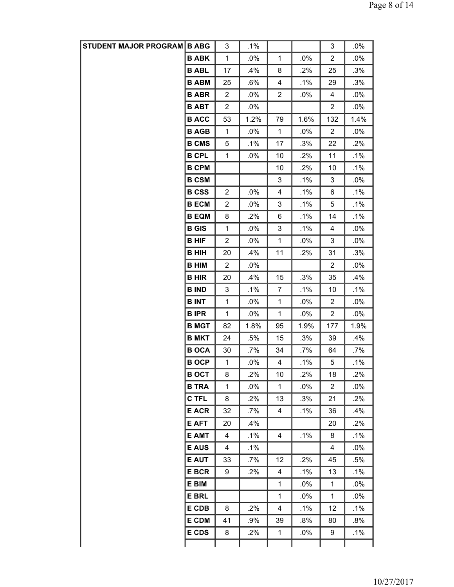| STUDENT MAJOR PROGRAM B ABG |              | 3              | $.1\%$ |                |        | 3              | .0%    |
|-----------------------------|--------------|----------------|--------|----------------|--------|----------------|--------|
|                             | <b>B ABK</b> | $\mathbf 1$    | $.0\%$ | $\mathbf{1}$   | .0%    | $\overline{c}$ | .0%    |
|                             | <b>B ABL</b> | 17             | .4%    | 8              | .2%    | 25             | .3%    |
|                             | <b>B ABM</b> | 25             | .6%    | 4              | .1%    | 29             | .3%    |
|                             | <b>B ABR</b> | $\overline{2}$ | $.0\%$ | $\overline{c}$ | .0%    | 4              | .0%    |
|                             | <b>B ABT</b> | $\overline{c}$ | $.0\%$ |                |        | $\mathbf{2}$   | .0%    |
|                             | <b>B ACC</b> | 53             | 1.2%   | 79             | 1.6%   | 132            | 1.4%   |
|                             | <b>B AGB</b> | 1              | $.0\%$ | $\mathbf{1}$   | .0%    | $\overline{2}$ | $.0\%$ |
|                             | <b>B CMS</b> | 5              | .1%    | 17             | .3%    | 22             | .2%    |
|                             | <b>B CPL</b> | $\mathbf 1$    | .0%    | 10             | .2%    | 11             | .1%    |
|                             | <b>B CPM</b> |                |        | 10             | .2%    | 10             | $.1\%$ |
|                             | <b>B CSM</b> |                |        | 3              | .1%    | 3              | .0%    |
|                             | <b>B CSS</b> | $\overline{2}$ | $.0\%$ | 4              | $.1\%$ | 6              | .1%    |
|                             | <b>B ECM</b> | $\overline{2}$ | $.0\%$ | 3              | .1%    | 5              | .1%    |
|                             | <b>B EQM</b> | 8              | .2%    | 6              | $.1\%$ | 14             | .1%    |
|                             | <b>B</b> GIS | 1              | .0%    | 3              | .1%    | 4              | .0%    |
|                             | <b>B HIF</b> | $\overline{c}$ | $.0\%$ | 1              | .0%    | 3              | .0%    |
|                             | <b>B HIH</b> | 20             | .4%    | 11             | .2%    | 31             | .3%    |
|                             | <b>B HIM</b> | $\overline{2}$ | $.0\%$ |                |        | 2              | $.0\%$ |
|                             | <b>B HIR</b> | 20             | .4%    | 15             | .3%    | 35             | .4%    |
|                             | <b>B IND</b> | 3              | .1%    | $\overline{7}$ | .1%    | 10             | $.1\%$ |
|                             | <b>BINT</b>  | $\mathbf{1}$   | $.0\%$ | $\mathbf{1}$   | .0%    | $\overline{2}$ | .0%    |
|                             | <b>BIPR</b>  | 1              | $.0\%$ | $\mathbf{1}$   | .0%    | $\overline{c}$ | .0%    |
|                             | <b>B MGT</b> | 82             | 1.8%   | 95             | 1.9%   | 177            | 1.9%   |
|                             | <b>B MKT</b> | 24             | .5%    | 15             | .3%    | 39             | .4%    |
|                             | <b>BOCA</b>  | 30             | .7%    | 34             | .7%    | 64             | .7%    |
|                             | <b>BOCP</b>  | 1              | .0%    | 4              | .1%    | 5              | $.1\%$ |
|                             | <b>B OCT</b> | 8              | .2%    | 10             | .2%    | 18             | .2%    |
|                             | <b>B TRA</b> | 1              | $.0\%$ | $\mathbf{1}$   | .0%    | $\overline{2}$ | .0%    |
|                             | C TFL        | 8              | .2%    | 13             | .3%    | 21             | .2%    |
|                             | <b>E ACR</b> | 32             | .7%    | 4              | .1%    | 36             | .4%    |
|                             | E AFT        | 20             | .4%    |                |        | 20             | $.2\%$ |
|                             | <b>E AMT</b> | 4              | .1%    | 4              | .1%    | 8              | .1%    |
|                             | <b>E AUS</b> | 4              | $.1\%$ |                |        | 4              | $.0\%$ |
|                             | <b>E AUT</b> | 33             | .7%    | 12             | .2%    | 45             | .5%    |
|                             | <b>E BCR</b> | 9              | .2%    | 4              | $.1\%$ | 13             | $.1\%$ |
|                             | E BIM        |                |        | $\mathbf{1}$   | .0%    | $\mathbf{1}$   | .0%    |
|                             | <b>E BRL</b> |                |        | $\mathbf{1}$   | .0%    | 1              | .0%    |
|                             | E CDB        | 8              | .2%    | 4              | $.1\%$ | 12             | .1%    |
|                             | <b>E CDM</b> | 41             | .9%    | 39             | .8%    | 80             | .8%    |
|                             | <b>E CDS</b> | 8              | .2%    | $\mathbf{1}$   | $.0\%$ | 9              | .1%    |
|                             |              |                |        |                |        |                |        |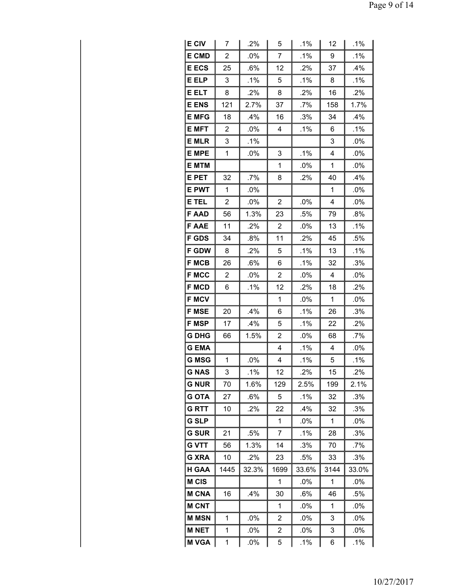| <b>E CIV</b> | 7              | .2%    | 5                       | $.1\%$    | 12                      | .1%    |  |
|--------------|----------------|--------|-------------------------|-----------|-------------------------|--------|--|
| <b>E CMD</b> | $\overline{2}$ | .0%    | 7                       | .1%       | 9                       | .1%    |  |
| <b>E ECS</b> | 25             | .6%    | 12                      | .2%       | 37                      | .4%    |  |
| E ELP        | 3              | .1%    | 5                       | .1%       | 8                       | .1%    |  |
| <b>E ELT</b> | 8              | $.2\%$ | 8                       | .2%       | 16                      | .2%    |  |
| <b>E ENS</b> | 121            | 2.7%   | 37                      | .7%       | 158                     | 1.7%   |  |
| <b>E MFG</b> | 18             | .4%    | 16                      | .3%       | 34                      | .4%    |  |
| <b>E MFT</b> | $\overline{2}$ | .0%    | 4                       | .1%       | 6                       | .1%    |  |
| <b>E MLR</b> | 3              | .1%    |                         |           | 3                       | .0%    |  |
| <b>E MPE</b> | 1              | $.0\%$ | 3                       | .1%       | 4                       | $.0\%$ |  |
| <b>E MTM</b> |                |        | 1                       | .0%       | 1                       | .0%    |  |
| E PET        | 32             | .7%    | 8                       | .2%<br>40 |                         | .4%    |  |
| <b>E PWT</b> | 1              | .0%    |                         | 1         |                         | .0%    |  |
| E TEL        | $\overline{c}$ | .0%    | $\overline{c}$          | .0%       | 4                       | .0%    |  |
| <b>FAAD</b>  | 56             | 1.3%   | 23                      | .5%       | 79                      | .8%    |  |
| <b>FAAE</b>  | 11             | .2%    | $\overline{2}$          | .0%       | 13                      | .1%    |  |
| <b>F GDS</b> | 34             | .8%    | 11                      | .2%       | 45                      | .5%    |  |
| <b>F GDW</b> | 8              | .2%    | 5                       | .1%       | 13                      | .1%    |  |
| <b>F MCB</b> | 26             | .6%    | 6                       | .1%       | 32                      | .3%    |  |
| <b>F MCC</b> | 2              | .0%    | $\overline{2}$          | .0%       | 4                       | $.0\%$ |  |
| <b>F MCD</b> | 6              | .1%    | 12                      | .2%       | 18                      | .2%    |  |
| <b>F MCV</b> |                |        | 1                       | .0%       | 1                       | .0%    |  |
| <b>F MSE</b> | 20             | .4%    | 6                       | .1%       | 26                      | .3%    |  |
| <b>F MSP</b> | 17             | .4%    | 5                       | .1%       | 22                      | .2%    |  |
| <b>G DHG</b> | 66             | 1.5%   | $\overline{2}$          | .0%       | 68                      | .7%    |  |
| <b>GEMA</b>  |                |        | $\overline{\mathbf{4}}$ | .1%       | $\overline{\mathbf{4}}$ | .0%    |  |
| <b>G MSG</b> | 1              | .0%    | 4                       | .1%       | 5                       | .1%    |  |
| G NAS        | 3              | .1%    | 12                      | .2%       | 15                      | .2%    |  |
| G NUR        | 70             | 1.6%   | 129                     | 2.5%      | 199                     | 2.1%   |  |
| <b>G OTA</b> | 27             | .6%    | 5                       | .1%       | 32                      | .3%    |  |
| <b>GRTT</b>  | 10             | .2%    | 22                      | .4%       | 32                      | .3%    |  |
| <b>G SLP</b> |                |        | 1                       | $.0\%$    | 1                       | .0%    |  |
| <b>G SUR</b> | 21             | .5%    | 7                       | $.1\%$    | 28                      | .3%    |  |
| <b>G VTT</b> | 56             | 1.3%   | 14                      | .3%       | 70                      | .7%    |  |
| <b>G XRA</b> | 10             | .2%    | 23                      | .5%       | 33                      | .3%    |  |
| H GAA        | 1445           | 32.3%  | 1699                    | 33.6%     | 3144                    | 33.0%  |  |
| M CIS        |                |        | 1                       | .0%       | 1                       | .0%    |  |
| <b>M CNA</b> | 16             | .4%    | 30                      | .6%       | 46                      | .5%    |  |
| <b>M CNT</b> |                |        | 1                       | $.0\%$    | 1                       | $.0\%$ |  |
| <b>M MSN</b> | $\mathbf 1$    | .0%    | 2                       | .0%       | 3                       | .0%    |  |
| <b>M NET</b> | 1              | .0%    | $\overline{\mathbf{c}}$ | $.0\%$    | 3                       | .0%    |  |
| <b>M VGA</b> | 1              | .0%    | 5                       | .1%       | 6                       | .1%    |  |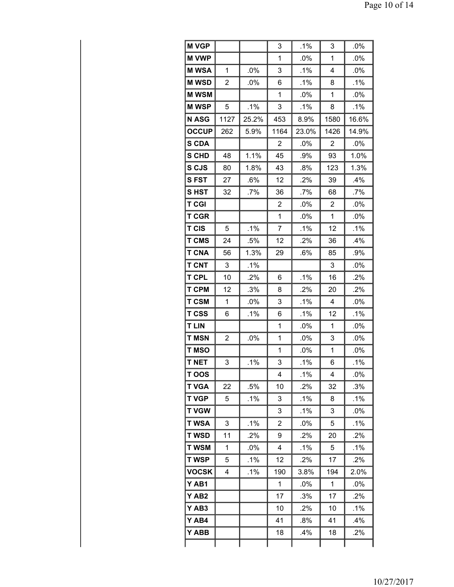| <b>M VGP</b>     |      |        | 3            | .1%    | 3    | .0%    |
|------------------|------|--------|--------------|--------|------|--------|
| <b>M VWP</b>     |      |        | 1            | .0%    | 1    | .0%    |
| <b>M WSA</b>     | 1    | .0%    | 3            | .1%    | 4    | .0%    |
| <b>MWSD</b>      | 2    | $.0\%$ | 6            | .1%    | 8    | $.1\%$ |
| <b>M WSM</b>     |      |        | 1            | .0%    | 1    | .0%    |
| <b>MWSP</b>      | 5    | .1%    | 3            | .1%    | 8    | .1%    |
| <b>N ASG</b>     | 1127 | 25.2%  | 453          | 8.9%   | 1580 | 16.6%  |
| <b>OCCUP</b>     | 262  | 5.9%   | 1164         | 23.0%  | 1426 | 14.9%  |
| <b>S CDA</b>     |      |        | 2            | .0%    | 2    | .0%    |
| <b>S CHD</b>     | 48   | 1.1%   | 45           | $.9\%$ | 93   | 1.0%   |
| S CJS            | 80   | 1.8%   | 43           | .8%    | 123  | 1.3%   |
| <b>SFST</b>      | 27   | $.6\%$ | 12           | .2%    | 39   | .4%    |
| SHST             | 32   | .7%    | 36           | .7%    | 68   | .7%    |
| <b>T CGI</b>     |      |        | 2            | $.0\%$ | 2    | $.0\%$ |
| <b>T CGR</b>     |      |        | $\mathbf{1}$ | .0%    | 1    | .0%    |
| <b>T CIS</b>     | 5    | .1%    | 7            | .1%    | 12   | .1%    |
| <b>T CMS</b>     | 24   | .5%    | 12           | .2%    | 36   | $.4\%$ |
| <b>T CNA</b>     | 56   | 1.3%   | 29           | .6%    | 85   | .9%    |
| <b>T CNT</b>     | 3    | .1%    |              |        | 3    | .0%    |
| <b>T CPL</b>     | 10   | .2%    | 6            | .1%    | 16   | .2%    |
| <b>T CPM</b>     | 12   | .3%    | 8            | .2%    | 20   | .2%    |
| <b>T CSM</b>     | 1    | .0%    | 3            | .1%    | 4    | .0%    |
| <b>T CSS</b>     | 6    | .1%    | 6            | .1%    | 12   | .1%    |
| <b>T LIN</b>     |      |        | 1            | .0%    | 1    | .0%    |
| <b>T MSN</b>     | 2    | .0%    | 1            | .0%    | 3    | $.0\%$ |
| <b>T MSO</b>     |      |        | 1            | .0%    | 1    | .0%    |
| <b>T NET</b>     | 3    | .1%    | 3            | $.1\%$ | 6    | $.1\%$ |
| T OOS            |      |        | 4            | .1%    | 4    | .0%    |
| <b>T VGA</b>     | 22   | .5%    | 10           | .2%    | 32   | .3%    |
| <b>T VGP</b>     | 5    | .1%    | 3            | .1%    | 8    | .1%    |
| <b>T VGW</b>     |      |        | 3            | .1%    | 3    | $.0\%$ |
| <b>T WSA</b>     | 3    | .1%    | 2            | .0%    | 5    | .1%    |
| <b>T WSD</b>     | 11   | $.2\%$ | 9            | .2%    | 20   | .2%    |
| <b>T WSM</b>     | 1    | .0%    | 4            | .1%    | 5    | .1%    |
| <b>TWSP</b>      | 5    | .1%    | 12           | .2%    | 17   | .2%    |
| <b>VOCSK</b>     | 4    | .1%    | 190          | 3.8%   | 194  | 2.0%   |
| Y AB1            |      |        | 1            | $.0\%$ | 1    | $.0\%$ |
| YAB <sub>2</sub> |      |        | 17           | $.3\%$ | 17   | .2%    |
| Y AB3            |      |        | 10           | .2%    | 10   | .1%    |
| Y AB4            |      |        | 41           | .8%    | 41   | $.4\%$ |
| Y ABB            |      |        | 18           | .4%    | 18   | .2%    |
|                  |      |        |              |        |      |        |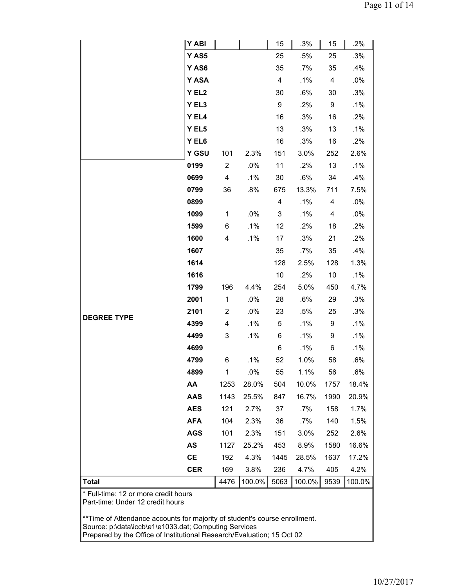|                                                                                                                                                         | <b>Y ABI</b> |                |        | 15                      | .3%     | 15             | .2%    |  |
|---------------------------------------------------------------------------------------------------------------------------------------------------------|--------------|----------------|--------|-------------------------|---------|----------------|--------|--|
|                                                                                                                                                         | Y AS5        |                |        | 25                      | .5%     | 25             | .3%    |  |
|                                                                                                                                                         | Y AS6        |                |        | 35                      | .7%     | 35             | .4%    |  |
|                                                                                                                                                         | Y ASA        |                |        | $\overline{\mathbf{4}}$ | .1%     | 4              | $.0\%$ |  |
|                                                                                                                                                         | Y EL2        |                |        | 30                      | .6%     | 30             | .3%    |  |
|                                                                                                                                                         | Y EL3        |                |        | 9                       | .2%     | 9              | .1%    |  |
|                                                                                                                                                         | Y EL4        |                |        | 16                      | .3%     | 16             | .2%    |  |
|                                                                                                                                                         | Y EL5        |                |        | 13                      | .3%     | 13             | $.1\%$ |  |
|                                                                                                                                                         | Y EL6        |                |        | 16                      | .3%     | 16             | .2%    |  |
|                                                                                                                                                         | Y GSU        | 101            | 2.3%   | 151                     | 3.0%    | 252            | 2.6%   |  |
|                                                                                                                                                         | 0199         | $\overline{2}$ | .0%    | 11                      | .2%     | 13             | $.1\%$ |  |
|                                                                                                                                                         | 0699         | 4              | .1%    | 30                      | .6%     | 34             | .4%    |  |
|                                                                                                                                                         | 0799         | 36             | .8%    | 675                     | 13.3%   | 711            | 7.5%   |  |
|                                                                                                                                                         | 0899         |                |        | $\overline{\mathbf{4}}$ | .1%     | $\overline{4}$ | .0%    |  |
|                                                                                                                                                         | 1099         | $\mathbf 1$    | $.0\%$ | 3                       | .1%     | 4              | $.0\%$ |  |
|                                                                                                                                                         | 1599         | 6              | .1%    | 12                      | .2%     | 18             | .2%    |  |
|                                                                                                                                                         | 1600         | 4              | .1%    | 17                      | .3%     | 21             | .2%    |  |
|                                                                                                                                                         | 1607         |                |        | 35                      | .7%     | 35             | .4%    |  |
|                                                                                                                                                         | 1614         |                |        | 128                     | 2.5%    | 128            | 1.3%   |  |
|                                                                                                                                                         | 1616         |                |        | 10                      | .2%     | 10             | $.1\%$ |  |
|                                                                                                                                                         | 1799         | 196            | 4.4%   | 254                     | 5.0%    | 450            | 4.7%   |  |
|                                                                                                                                                         | 2001         | $\mathbf{1}$   | $.0\%$ | 28                      | .6%     | 29             | .3%    |  |
| <b>DEGREE TYPE</b>                                                                                                                                      | 2101         | 2              | .0%    | 23                      | .5%     | 25             | .3%    |  |
|                                                                                                                                                         | 4399         | 4              | .1%    | 5                       | .1%     | 9              | .1%    |  |
|                                                                                                                                                         | 4499         | 3              | .1%    | 6                       | .1%     | 9              | .1%    |  |
|                                                                                                                                                         | 4699         |                |        | 6                       | $.1\%$  | 6              | $.1\%$ |  |
|                                                                                                                                                         | 4799         | 6              | .1%    | 52                      | 1.0%    | 58             | .6%    |  |
|                                                                                                                                                         | 4899         | 1              | $.0\%$ | 55                      | $1.1\%$ | 56             | .6%    |  |
|                                                                                                                                                         | AA           | 1253           | 28.0%  | 504                     | 10.0%   | 1757           | 18.4%  |  |
|                                                                                                                                                         | <b>AAS</b>   | 1143           | 25.5%  | 847                     | 16.7%   | 1990           | 20.9%  |  |
|                                                                                                                                                         | <b>AES</b>   | 121            | 2.7%   | 37                      | $.7\%$  | 158            | 1.7%   |  |
|                                                                                                                                                         | <b>AFA</b>   | 104            | 2.3%   | 36                      | $.7\%$  | 140            | 1.5%   |  |
|                                                                                                                                                         | <b>AGS</b>   | 101            | 2.3%   | 151                     | 3.0%    | 252            | 2.6%   |  |
|                                                                                                                                                         | AS           | 1127           | 25.2%  | 453                     | 8.9%    | 1580           | 16.6%  |  |
|                                                                                                                                                         | <b>CE</b>    | 192            | 4.3%   | 1445                    | 28.5%   | 1637           | 17.2%  |  |
|                                                                                                                                                         | <b>CER</b>   | 169            | 3.8%   | 236                     | 4.7%    | 405            | 4.2%   |  |
| <b>Total</b>                                                                                                                                            |              | 4476           | 100.0% | 5063                    | 100.0%  | 9539           | 100.0% |  |
| * Full-time: 12 or more credit hours<br>Part-time: Under 12 credit hours<br>** Time of Attendance accounts for majority of student's course enrollment. |              |                |        |                         |         |                |        |  |

Source: p:\data\iccb\e1\e1033.dat; Computing Services

Prepared by the Office of Institutional Research/Evaluation; 15 Oct 02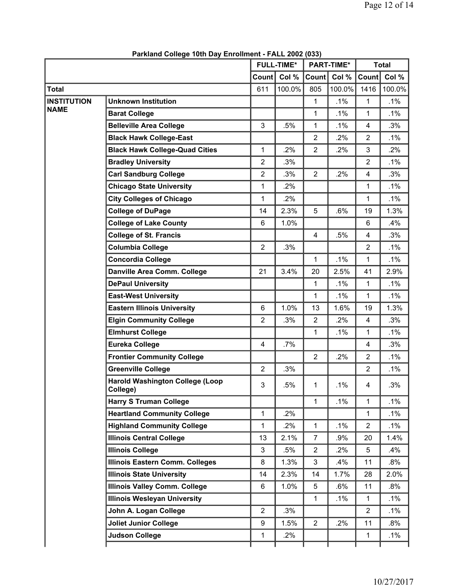|                    |                                                    |                | <b>FULL-TIME*</b> |                | <b>PART-TIME*</b> |                | <b>Total</b> |  |
|--------------------|----------------------------------------------------|----------------|-------------------|----------------|-------------------|----------------|--------------|--|
|                    |                                                    | Count          | Col %             | Count          | Col %             | Count          | Col %        |  |
| <b>Total</b>       |                                                    | 611            | 100.0%            | 805            | 100.0%            | 1416           | 100.0%       |  |
| <b>INSTITUTION</b> | <b>Unknown Institution</b>                         |                |                   | $\mathbf{1}$   | .1%               | $\mathbf{1}$   | .1%          |  |
| <b>NAME</b>        | <b>Barat College</b>                               |                |                   | $\mathbf{1}$   | .1%               | $\mathbf{1}$   | .1%          |  |
|                    | <b>Belleville Area College</b>                     | 3              | .5%               | 1              | .1%               | 4              | .3%          |  |
|                    | <b>Black Hawk College-East</b>                     |                |                   | $\overline{2}$ | .2%               | $\overline{2}$ | .1%          |  |
|                    | <b>Black Hawk College-Quad Cities</b>              | 1              | .2%               | $\overline{2}$ | .2%               | 3              | .2%          |  |
|                    | <b>Bradley University</b>                          | $\overline{2}$ | .3%               |                |                   | $\overline{2}$ | .1%          |  |
|                    | <b>Carl Sandburg College</b>                       | $\overline{2}$ | .3%               | $\overline{2}$ | .2%               | 4              | .3%          |  |
|                    | <b>Chicago State University</b>                    | 1              | .2%               |                |                   | 1              | .1%          |  |
|                    | <b>City Colleges of Chicago</b>                    | 1              | .2%               |                |                   | 1              | $.1\%$       |  |
|                    | <b>College of DuPage</b>                           | 14             | 2.3%              | 5              | .6%               | 19             | 1.3%         |  |
|                    | <b>College of Lake County</b>                      | 6              | 1.0%              |                |                   | 6              | .4%          |  |
|                    | <b>College of St. Francis</b>                      |                |                   | $\overline{4}$ | .5%               | $\overline{4}$ | .3%          |  |
|                    | <b>Columbia College</b>                            | $\overline{2}$ | .3%               |                |                   | $\overline{2}$ | .1%          |  |
|                    | <b>Concordia College</b>                           |                |                   | $\mathbf{1}$   | .1%               | 1              | .1%          |  |
|                    | Danville Area Comm. College                        | 21             | 3.4%              | 20             | 2.5%              | 41             | 2.9%         |  |
|                    | <b>DePaul University</b>                           |                |                   | $\mathbf{1}$   | .1%               | $\mathbf{1}$   | .1%          |  |
|                    | <b>East-West University</b>                        |                |                   | $\mathbf{1}$   | .1%               | $\mathbf{1}$   | .1%          |  |
|                    | <b>Eastern Illinois University</b>                 | $6\phantom{1}$ | 1.0%              | 13             | 1.6%              | 19             | 1.3%         |  |
|                    | <b>Elgin Community College</b>                     | $\overline{2}$ | .3%               | $\overline{2}$ | .2%               | 4              | .3%          |  |
|                    | <b>Elmhurst College</b>                            |                |                   | $\mathbf{1}$   | .1%               | 1              | .1%          |  |
|                    | <b>Eureka College</b>                              | 4              | .7%               |                |                   | 4              | .3%          |  |
|                    | <b>Frontier Community College</b>                  |                |                   | $\overline{2}$ | .2%               | $\overline{2}$ | .1%          |  |
|                    | <b>Greenville College</b>                          | $\overline{2}$ | .3%               |                |                   | $\overline{2}$ | .1%          |  |
|                    | <b>Harold Washington College (Loop</b><br>College) | 3              | .5%               | 1              | .1%               | 4              | .3%          |  |
|                    | <b>Harry S Truman College</b>                      |                |                   | $\mathbf{1}$   | .1%               | 1              | .1%          |  |
|                    | <b>Heartland Community College</b>                 | 1              | .2%               |                |                   | 1              | .1%          |  |
|                    | <b>Highland Community College</b>                  | 1              | .2%               | $\mathbf{1}$   | .1%               | $\overline{2}$ | .1%          |  |
|                    | <b>Illinois Central College</b>                    | 13             | 2.1%              | $\overline{7}$ | .9%               | 20             | 1.4%         |  |
|                    | <b>Illinois College</b>                            | 3              | .5%               | $\overline{2}$ | .2%               | 5              | .4%          |  |
|                    | Illinois Eastern Comm. Colleges                    | 8              | 1.3%              | 3              | .4%               | 11             | $.8\%$       |  |
|                    | <b>Illinois State University</b>                   | 14             | 2.3%              | 14             | 1.7%              | 28             | 2.0%         |  |
|                    | <b>Illinois Valley Comm. College</b>               | 6              | 1.0%              | 5              | $.6\%$            | 11             | $.8\%$       |  |
|                    | <b>Illinois Wesleyan University</b>                |                |                   | $\mathbf{1}$   | $.1\%$            | 1              | $.1\%$       |  |
|                    | John A. Logan College                              | $\overline{2}$ | .3%               |                |                   | $\overline{2}$ | $.1\%$       |  |
|                    | <b>Joliet Junior College</b>                       | 9              | 1.5%              | $\overline{2}$ | .2%               | 11             | .8%          |  |
|                    | <b>Judson College</b>                              | 1              | .2%               |                |                   | $\mathbf 1$    | .1%          |  |
|                    |                                                    |                |                   |                |                   |                |              |  |

**Parkland College 10th Day Enrollment - FALL 2002 (033)**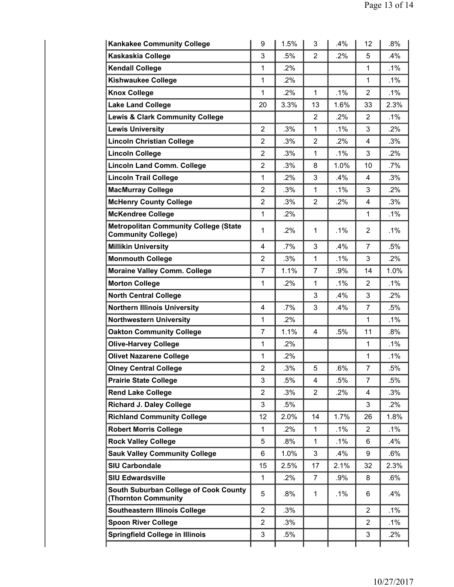| <b>Kankakee Community College</b>                                          | 9              | 1.5%   | 3              | .4%    | 12             | .8%    |
|----------------------------------------------------------------------------|----------------|--------|----------------|--------|----------------|--------|
| Kaskaskia College                                                          | 3              | $.5\%$ | $\overline{2}$ | .2%    | 5              | $.4\%$ |
| <b>Kendall College</b>                                                     | 1              | .2%    |                |        | $\mathbf{1}$   | $.1\%$ |
| <b>Kishwaukee College</b>                                                  | 1              | $.2\%$ |                |        | $\mathbf{1}$   | $.1\%$ |
| <b>Knox College</b>                                                        | 1              | $.2\%$ | 1              | $.1\%$ | 2              | .1%    |
| <b>Lake Land College</b>                                                   | 20             | 3.3%   | 13             | 1.6%   | 33             | 2.3%   |
| <b>Lewis &amp; Clark Community College</b>                                 |                |        | $\overline{2}$ | $.2\%$ | 2              | $.1\%$ |
| <b>Lewis University</b>                                                    | $\overline{2}$ | .3%    | 1              | $.1\%$ | 3              | $.2\%$ |
| <b>Lincoln Christian College</b>                                           | $\overline{2}$ | .3%    | $\overline{2}$ | $.2\%$ | 4              | .3%    |
| <b>Lincoln College</b>                                                     | $\overline{2}$ | .3%    | $\mathbf{1}$   | $.1\%$ | 3              | .2%    |
| <b>Lincoln Land Comm. College</b>                                          | $\overline{2}$ | .3%    | 8              | 1.0%   | 10             | .7%    |
| <b>Lincoln Trail College</b>                                               | 1              | .2%    | 3              | .4%    | 4              | .3%    |
| <b>MacMurray College</b>                                                   | 2              | .3%    | $\mathbf{1}$   | .1%    | 3              | $.2\%$ |
| <b>McHenry County College</b>                                              | $\overline{2}$ | .3%    | $\overline{2}$ | .2%    | 4              | .3%    |
| <b>McKendree College</b>                                                   | 1              | .2%    |                |        | 1              | $.1\%$ |
| <b>Metropolitan Community College (State</b><br><b>Community College)</b>  | 1              | $.2\%$ | $\mathbf{1}$   | $.1\%$ | 2              | .1%    |
| <b>Millikin University</b>                                                 | 4              | .7%    | 3              | .4%    | $\overline{7}$ | .5%    |
| <b>Monmouth College</b>                                                    | 2              | .3%    | $\mathbf{1}$   | $.1\%$ | 3              | .2%    |
| <b>Moraine Valley Comm. College</b>                                        | $\overline{7}$ | 1.1%   | 7              | $.9\%$ | 14             | 1.0%   |
| <b>Morton College</b>                                                      | 1              | $.2\%$ | 1              | $.1\%$ | 2              | .1%    |
| <b>North Central College</b>                                               |                |        | 3              | .4%    | 3              | .2%    |
| <b>Northern Illinois University</b>                                        | 4              | .7%    | 3              | .4%    | 7              | .5%    |
| <b>Northwestern University</b>                                             | 1              | $.2\%$ |                |        | 1              | $.1\%$ |
| <b>Oakton Community College</b>                                            | $\overline{7}$ | 1.1%   | 4              | .5%    | 11             | .8%    |
| <b>Olive-Harvey College</b>                                                | 1              | .2%    |                |        | 1              | .1%    |
| <b>Olivet Nazarene College</b>                                             | 1              | .2%    |                |        | 1              | .1%    |
| <b>Olney Central College</b>                                               | $\overline{2}$ | .3%    | 5              | .6%    | 7              | .5%    |
| <b>Prairie State College</b>                                               | 3              | .5%    | 4              | .5%    | $\overline{7}$ | .5%    |
| <b>Rend Lake College</b>                                                   | $\overline{2}$ | .3%    | $\overline{2}$ | .2%    | 4              | .3%    |
| <b>Richard J. Daley College</b>                                            | 3              | .5%    |                |        | 3              | $.2\%$ |
| <b>Richland Community College</b>                                          | 12             | 2.0%   | 14             | 1.7%   | 26             | 1.8%   |
| <b>Robert Morris College</b>                                               | 1              | .2%    | $\mathbf{1}$   | .1%    | $\overline{2}$ | $.1\%$ |
| <b>Rock Valley College</b>                                                 | 5              | .8%    | 1              | $.1\%$ | 6              | .4%    |
| <b>Sauk Valley Community College</b>                                       | 6              | 1.0%   | 3              | $.4\%$ | 9              | .6%    |
| <b>SIU Carbondale</b>                                                      | 15             | 2.5%   | 17             | 2.1%   | 32             | 2.3%   |
| <b>SIU Edwardsville</b>                                                    | 1              | .2%    | 7              | .9%    | 8              | .6%    |
| <b>South Suburban College of Cook County</b><br><b>(Thornton Community</b> | 5              | .8%    | 1              | .1%    | 6              | .4%    |
| <b>Southeastern Illinois College</b>                                       | $\overline{2}$ | .3%    |                |        | 2              | $.1\%$ |
| <b>Spoon River College</b>                                                 | $\mathbf{2}$   | .3%    |                |        | 2              | $.1\%$ |
| <b>Springfield College in Illinois</b>                                     | 3              | .5%    |                |        | 3              | $.2\%$ |
|                                                                            |                |        |                |        |                |        |